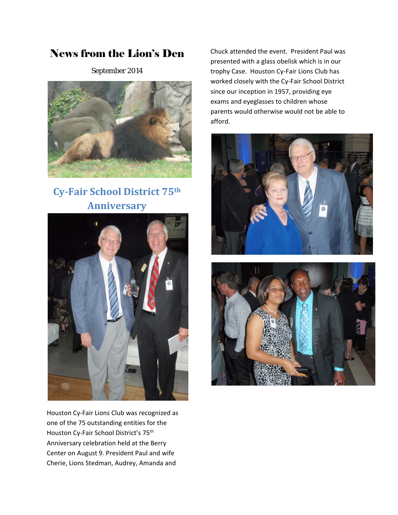# News from the Lion's Den

September 2014



**Cy‐Fair School District 75th Anniversary** 



Houston Cy‐Fair Lions Club was recognized as one of the 75 outstanding entities for the Houston Cy‐Fair School District's 75th Anniversary celebration held at the Berry Center on August 9. President Paul and wife Cherie, Lions Stedman, Audrey, Amanda and

Chuck attended the event. President Paul was presented with a glass obelisk which is in our trophy Case. Houston Cy‐Fair Lions Club has worked closely with the Cy‐Fair School District since our inception in 1957, providing eye exams and eyeglasses to children whose parents would otherwise would not be able to afford.



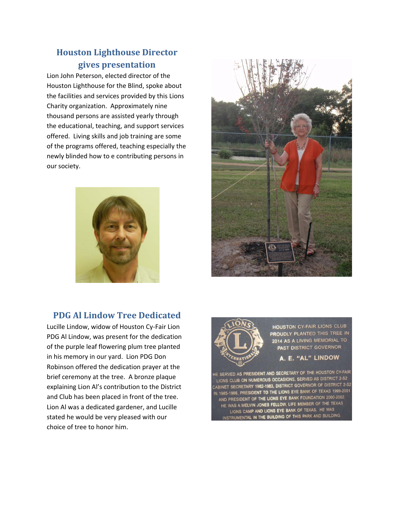# **Houston Lighthouse Director gives presentation**

Lion John Peterson, elected director of the Houston Lighthouse for the Blind, spoke about the facilities and services provided by this Lions Charity organization. Approximately nine thousand persons are assisted yearly through the educational, teaching, and support services offered. Living skills and job training are some of the programs offered, teaching especially the newly blinded how to e contributing persons in our society.



## **PDG Al Lindow Tree Dedicated**

Lucille Lindow, widow of Houston Cy‐Fair Lion PDG Al Lindow, was present for the dedication of the purple leaf flowering plum tree planted in his memory in our yard. Lion PDG Don Robinson offered the dedication prayer at the brief ceremony at the tree. A bronze plaque explaining Lion Al's contribution to the District and Club has been placed in front of the tree. Lion Al was a dedicated gardener, and Lucille stated he would be very pleased with our choice of tree to honor him.



**HOUSTON CY-FAIR LIONS CLUB PROUDLY P**LANTED THIS TREE IN 2014 AS A LIVING MEMORIAL TO **PAST DISTRICT GOVERNOR** 

#### E. "AL" LINDOW

IE SERVED AS PRESIDENT AND SECRETARY OF THE HOUSTON CY-FAIR LIONS CLUB ON NUMEROUS OCCASIONS, SERVED AS DISTRICT 2-S2 CABINET SECRETARY 1982-1983, DISTRICT GOVERNOR OF DISTRICT 2-S2 SABINET SECRETARY 1982-1983, DISTRICT SOVENION OF EXAS 1999-2001<br>IN 1985-1986, PRESIDENT TO THE LIONS EYE BANK OF TEXAS 1999-2001 1985-1986, PRESIDENT TO THE LIONS ETE BANK OF TEXAS 1999-2002.<br>AND PRESIDENT OF THE LIONS EYE BANK FOUNDATION 2000-2002. HE WAS A MELVIN JONES FELLOW, LIFE MEMBER OF THE TEXAS LIONS CAMP AND LIONS EYE BANK OF TEXAS. HE WAS INSTRUMENTAL IN THE BUILDING OF THIS PARK AND BUILDING.